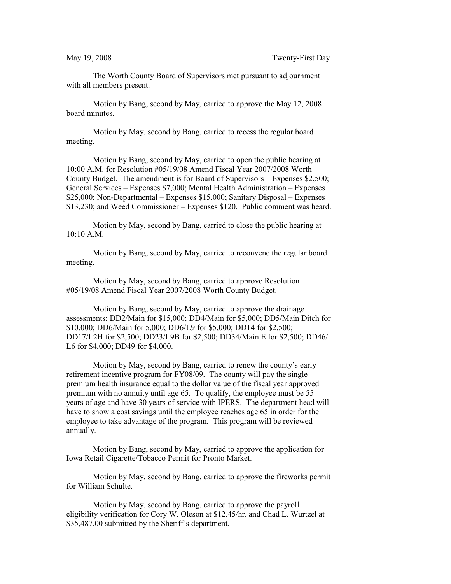The Worth County Board of Supervisors met pursuant to adjournment with all members present.

Motion by Bang, second by May, carried to approve the May 12, 2008 board minutes.

Motion by May, second by Bang, carried to recess the regular board meeting.

Motion by Bang, second by May, carried to open the public hearing at 10:00 A.M. for Resolution #05/19/08 Amend Fiscal Year 2007/2008 Worth County Budget. The amendment is for Board of Supervisors – Expenses \$2,500; General Services – Expenses \$7,000; Mental Health Administration – Expenses \$25,000; Non-Departmental – Expenses \$15,000; Sanitary Disposal – Expenses \$13,230; and Weed Commissioner – Expenses \$120. Public comment was heard.

Motion by May, second by Bang, carried to close the public hearing at 10:10 A.M.

Motion by Bang, second by May, carried to reconvene the regular board meeting.

Motion by May, second by Bang, carried to approve Resolution #05/19/08 Amend Fiscal Year 2007/2008 Worth County Budget.

Motion by Bang, second by May, carried to approve the drainage assessments: DD2/Main for \$15,000; DD4/Main for \$5,000; DD5/Main Ditch for \$10,000; DD6/Main for 5,000; DD6/L9 for \$5,000; DD14 for \$2,500; DD17/L2H for \$2,500; DD23/L9B for \$2,500; DD34/Main E for \$2,500; DD46/ L6 for \$4,000; DD49 for \$4,000.

Motion by May, second by Bang, carried to renew the county's early retirement incentive program for FY08/09. The county will pay the single premium health insurance equal to the dollar value of the fiscal year approved premium with no annuity until age 65. To qualify, the employee must be 55 years of age and have 30 years of service with IPERS. The department head will have to show a cost savings until the employee reaches age 65 in order for the employee to take advantage of the program. This program will be reviewed annually.

Motion by Bang, second by May, carried to approve the application for Iowa Retail Cigarette/Tobacco Permit for Pronto Market.

Motion by May, second by Bang, carried to approve the fireworks permit for William Schulte.

Motion by May, second by Bang, carried to approve the payroll eligibility verification for Cory W. Oleson at \$12.45/hr. and Chad L. Wurtzel at \$35,487.00 submitted by the Sheriff's department.